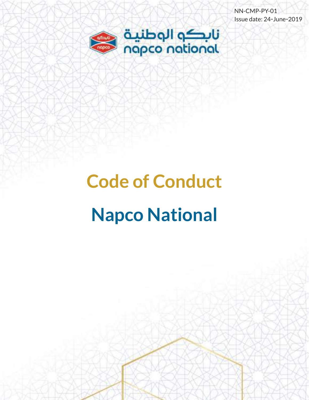NN-CMP-PY-01 Issue date: 24-June-2019



# **Code of Conduct Napco National**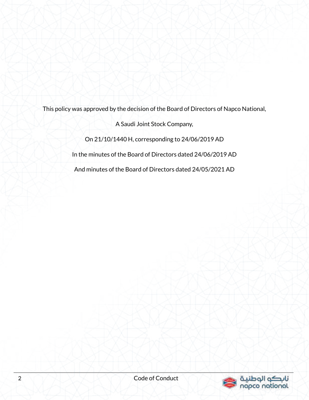This policy was approved by the decision of the Board of Directors of Napco National,

A Saudi Joint Stock Company,

On 21/10/1440 H, corresponding to 24/06/2019 AD

In the minutes of the Board of Directors dated 24/06/2019 AD

And minutes of the Board of Directors dated 24/05/2021 AD

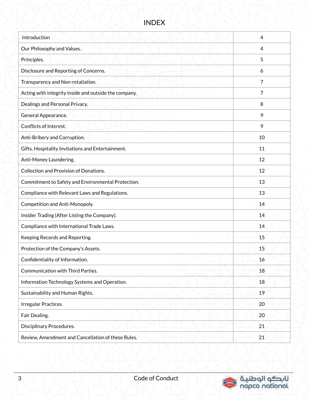#### INDEX

| Introduction                                          | 4  |
|-------------------------------------------------------|----|
| Our Philosophy and Values.                            | 4  |
| Principles.                                           | 5  |
| Disclosure and Reporting of Concerns.                 | 6  |
| Transparency and Non-retaliation.                     | 7  |
| Acting with integrity inside and outside the company. | 7  |
| Dealings and Personal Privacy.                        | 8  |
| General Appearance.                                   | 9  |
| Conflicts of Interest.                                | 9  |
| Anti-Bribery and Corruption.                          | 10 |
| Gifts, Hospitality Invitations and Entertainment.     | 11 |
| Anti-Money Laundering.                                | 12 |
| <b>Collection and Provision of Donations.</b>         | 12 |
| Commitment to Safety and Environmental Protection.    | 13 |
| Compliance with Relevant Laws and Regulations.        | 13 |
| Competition and Anti-Monopoly.                        | 14 |
| Insider Trading (After Listing the Company).          | 14 |
| Compliance with International Trade Laws.             | 14 |
| Keeping Records and Reporting.                        | 15 |
| Protection of the Company's Assets.                   | 15 |
| Confidentiality of Information.                       | 16 |
| Communication with Third Parties.                     | 18 |
| Information Technology Systems and Operation.         | 18 |
| Sustainability and Human Rights.                      | 19 |
| Irregular Practices.                                  | 20 |
| Fair Dealing.                                         | 20 |
| Disciplinary Procedures.                              | 21 |
| Review, Amendment and Cancellation of these Rules.    | 21 |

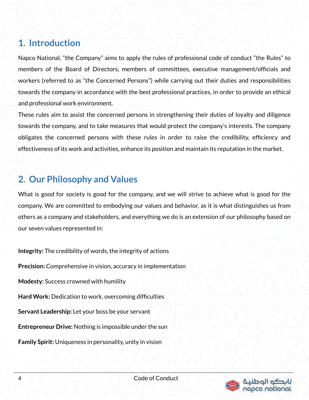#### **1. Introduction**

Napco National, "the Company" aims to apply the rules of professional code of conduct "the Rules" to members of the Board of Directors, members of committees, executive management/officials and workers (referred to as "the Concerned Persons") while carrying out their duties and responsibilities towards the company in accordance with the best professional practices, in order to provide an ethical and professional work environment.

These rules aim to assist the concerned persons in strengthening their duties of loyalty and diligence towards the company, and to take measures that would protect the company's interests. The company obligates the concerned persons with these rules in order to raise the credibility, efficiency and effectiveness of its work and activities, enhance its position and maintain its reputation in the market.

#### **2. Our Philosophy and Values**

What is good for society is good for the company, and we will strive to achieve what is good for the company. We are committed to embodying our values and behavior, as it is what distinguishes us from others as a company and stakeholders, and everything we do is an extension of our philosophy based on our seven values represented in:

**Integrity:** The credibility of words, the integrity of actions **Precision:** Comprehensive in vision, accuracy in implementation **Modesty:** Success crowned with humility **Hard Work:** Dedication to work, overcoming difficulties **Servant Leadership:** Let your boss be your servant **Entrepreneur Drive:** Nothing is impossible under the sun **Family Spirit:** Uniqueness in personality, unity in vision

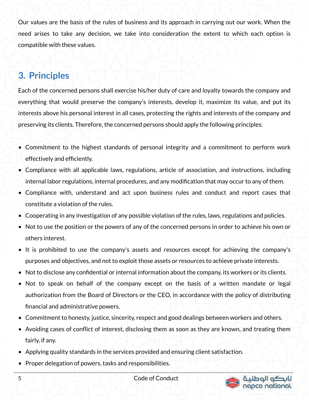Our values are the basis of the rules of business and its approach in carrying out our work. When the need arises to take any decision, we take into consideration the extent to which each option is compatible with these values.

#### **3. Principles**

Each of the concerned persons shall exercise his/her duty of care and loyalty towards the company and everything that would preserve the company's interests, develop it, maximize its value, and put its interests above his personal interest in all cases, protecting the rights and interests of the company and preserving its clients. Therefore, the concerned persons should apply the following principles:

- Commitment to the highest standards of personal integrity and a commitment to perform work effectively and efficiently.
- Compliance with all applicable laws, regulations, article of association, and instructions, including internal labor regulations, internal procedures, and any modification that may occur to any of them.
- Compliance with, understand and act upon business rules and conduct and report cases that constitute a violation of the rules.
- Cooperating in any investigation of any possible violation of the rules, laws, regulations and policies.
- Not to use the position or the powers of any of the concerned persons in order to achieve his own or others interest.
- It is prohibited to use the company's assets and resources except for achieving the company's purposes and objectives, and not to exploit those assets or resources to achieve private interests.
- Not to disclose any confidential or internal information about the company, its workers or its clients.
- Not to speak on behalf of the company except on the basis of a written mandate or legal authorization from the Board of Directors or the CEO, in accordance with the policy of distributing financial and administrative powers.
- Commitment to honesty, justice, sincerity, respect and good dealings between workers and others.
- Avoiding cases of conflict of interest, disclosing them as soon as they are known, and treating them fairly, if any.
- Applying quality standards in the services provided and ensuring client satisfaction.
- Proper delegation of powers, tasks and responsibilities.



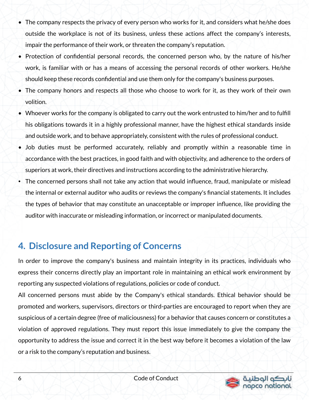- The company respects the privacy of every person who works for it, and considers what he/she does outside the workplace is not of its business, unless these actions affect the company's interests, impair the performance of their work, or threaten the company's reputation.
- Protection of confidential personal records, the concerned person who, by the nature of his/her work, is familiar with or has a means of accessing the personal records of other workers. He/she should keep these records confidential and use them only for the company's business purposes.
- The company honors and respects all those who choose to work for it, as they work of their own volition.
- Whoever works for the company is obligated to carry out the work entrusted to him/her and to fulfill his obligations towards it in a highly professional manner, have the highest ethical standards inside and outside work, and to behave appropriately, consistent with the rules of professional conduct.
- Job duties must be performed accurately, reliably and promptly within a reasonable time in accordance with the best practices, in good faith and with objectivity, and adherence to the orders of superiors at work, their directives and instructions according to the administrative hierarchy.
- The concerned persons shall not take any action that would influence, fraud, manipulate or mislead the internal or external auditor who audits or reviews the company's financial statements. It includes the types of behavior that may constitute an unacceptable or improper influence, like providing the auditor with inaccurate or misleading information, or incorrect or manipulated documents.

## **4. Disclosure and Reporting of Concerns**

In order to improve the company's business and maintain integrity in its practices, individuals who express their concerns directly play an important role in maintaining an ethical work environment by reporting any suspected violations of regulations, policies or code of conduct.

All concerned persons must abide by the Company's ethical standards. Ethical behavior should be promoted and workers, supervisors, directors or third-parties are encouraged to report when they are suspicious of a certain degree (free of maliciousness) for a behavior that causes concern or constitutes a violation of approved regulations. They must report this issue immediately to give the company the opportunity to address the issue and correct it in the best way before it becomes a violation of the law or a risk to the company's reputation and business.

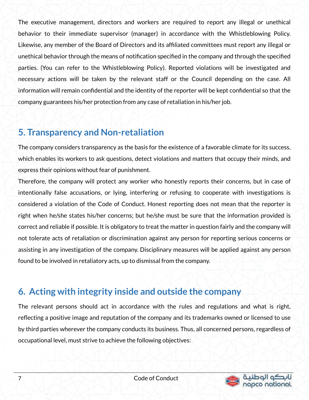The executive management, directors and workers are required to report any illegal or unethical behavior to their immediate supervisor (manager) in accordance with the Whistleblowing Policy. Likewise, any member of the Board of Directors and its affiliated committees must report any illegal or unethical behavior through the means of notification specified in the company and through the specified parties. (You can refer to the Whistleblowing Policy). Reported violations will be investigated and necessary actions will be taken by the relevant staff or the Council depending on the case. All information will remain confidential and the identity of the reporter will be kept confidential so that the company guarantees his/her protection from any case of retaliation in his/her job.

#### **5. Transparency and Non-retaliation**

The company considers transparency as the basis for the existence of a favorable climate for its success, which enables its workers to ask questions, detect violations and matters that occupy their minds, and express their opinions without fear of punishment.

Therefore, the company will protect any worker who honestly reports their concerns, but in case of intentionally false accusations, or lying, interfering or refusing to cooperate with investigations is considered a violation of the Code of Conduct. Honest reporting does not mean that the reporter is right when he/she states his/her concerns; but he/she must be sure that the information provided is correct and reliable if possible. It is obligatory to treat the matter in question fairly and the company will not tolerate acts of retaliation or discrimination against any person for reporting serious concerns or assisting in any investigation of the company. Disciplinary measures will be applied against any person found to be involved in retaliatory acts, up to dismissal from the company.

## **6. Acting with integrity inside and outside the company**

The relevant persons should act in accordance with the rules and regulations and what is right, reflecting a positive image and reputation of the company and its trademarks owned or licensed to use by third parties wherever the company conducts its business. Thus, all concerned persons, regardless of occupational level, must strive to achieve the following objectives:

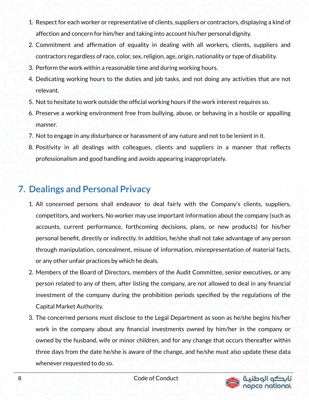- 1. Respect for each worker or representative of clients, suppliers or contractors, displaying a kind of affection and concern for him/her and taking into account his/her personal dignity.
- 2. Commitment and affirmation of equality in dealing with all workers, clients, suppliers and contractors regardless of race, color, sex, religion, age, origin, nationality or type of disability.
- 3. Perform the work within a reasonable time and during working hours.
- 4. Dedicating working hours to the duties and job tasks, and not doing any activities that are not relevant.
- 5. Not to hesitate to work outside the official working hours if the work interest requires so.
- 6. Preserve a working environment free from bullying, abuse, or behaving in a hostile or appalling manner.
- 7. Not to engage in any disturbance or harassment of any nature and not to be lenient in it.
- 8. Positivity in all dealings with colleagues, clients and suppliers in a manner that reflects professionalism and good handling and avoids appearing inappropriately.

# **7. Dealings and Personal Privacy**

- 1. All concerned persons shall endeavor to deal fairly with the Company's clients, suppliers, competitors, and workers. No worker may use important information about the company (such as accounts, current performance, forthcoming decisions, plans, or new products) for his/her personal benefit, directly or indirectly. In addition, he/she shall not take advantage of any person through manipulation, concealment, misuse of information, misrepresentation of material facts, or any other unfair practices by which he deals.
- 2. Members of the Board of Directors, members of the Audit Committee, senior executives, or any person related to any of them, after listing the company, are not allowed to deal in any financial investment of the company during the prohibition periods specified by the regulations of the Capital Market Authority.
- 3. The concerned persons must disclose to the Legal Department as soon as he/she begins his/her work in the company about any financial investments owned by him/her in the company or owned by the husband, wife or minor children, and for any change that occurs thereafter within three days from the date he/she is aware of the change, and he/she must also update these data whenever requested to do so.

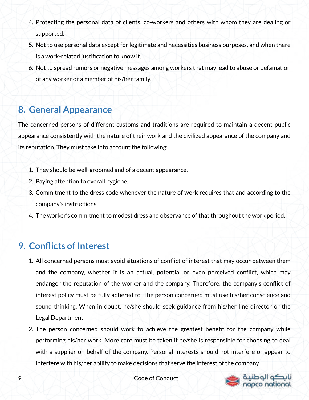- 4. Protecting the personal data of clients, co-workers and others with whom they are dealing or supported.
- 5. Not to use personal data except for legitimate and necessities business purposes, and when there is a work-related justification to know it.
- 6. Not to spread rumors or negative messages among workers that may lead to abuse or defamation of any worker or a member of his/her family.

#### **8. General Appearance**

The concerned persons of different customs and traditions are required to maintain a decent public appearance consistently with the nature of their work and the civilized appearance of the company and its reputation. They must take into account the following:

- 1. They should be well-groomed and of a decent appearance.
- 2. Paying attention to overall hygiene.
- 3. Commitment to the dress code whenever the nature of work requires that and according to the company's instructions.
- 4. The worker's commitment to modest dress and observance of that throughout the work period.

## **9. Conflicts of Interest**

- 1. All concerned persons must avoid situations of conflict of interest that may occur between them and the company, whether it is an actual, potential or even perceived conflict, which may endanger the reputation of the worker and the company. Therefore, the company's conflict of interest policy must be fully adhered to. The person concerned must use his/her conscience and sound thinking. When in doubt, he/she should seek guidance from his/her line director or the Legal Department.
- 2. The person concerned should work to achieve the greatest benefit for the company while performing his/her work. More care must be taken if he/she is responsible for choosing to deal with a supplier on behalf of the company. Personal interests should not interfere or appear to interfere with his/her ability to make decisions that serve the interest of the company.

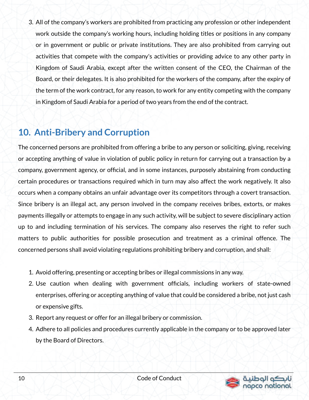3. All of the company's workers are prohibited from practicing any profession or other independent work outside the company's working hours, including holding titles or positions in any company or in government or public or private institutions. They are also prohibited from carrying out activities that compete with the company's activities or providing advice to any other party in Kingdom of Saudi Arabia, except after the written consent of the CEO, the Chairman of the Board, or their delegates. It is also prohibited for the workers of the company, after the expiry of the term of the work contract, for any reason, to work for any entity competing with the company in Kingdom of Saudi Arabia for a period of two years from the end of the contract.

## **10. Anti-Bribery and Corruption**

The concerned persons are prohibited from offering a bribe to any person or soliciting, giving, receiving or accepting anything of value in violation of public policy in return for carrying out a transaction by a company, government agency, or official, and in some instances, purposely abstaining from conducting certain procedures or transactions required which in turn may also affect the work negatively. It also occurs when a company obtains an unfair advantage over its competitors through a covert transaction. Since bribery is an illegal act, any person involved in the company receives bribes, extorts, or makes payments illegally or attempts to engage in any such activity, will be subject to severe disciplinary action up to and including termination of his services. The company also reserves the right to refer such matters to public authorities for possible prosecution and treatment as a criminal offence. The concerned persons shall avoid violating regulations prohibiting bribery and corruption, and shall:

- 1. Avoid offering, presenting or accepting bribes or illegal commissions in any way.
- 2. Use caution when dealing with government officials, including workers of state-owned enterprises, offering or accepting anything of value that could be considered a bribe, not just cash or expensive gifts.
- 3. Report any request or offer for an illegal bribery or commission.
- 4. Adhere to all policies and procedures currently applicable in the company or to be approved later by the Board of Directors.

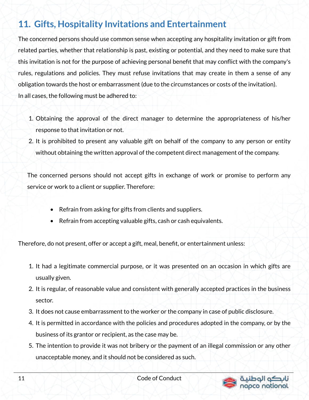## **11. Gifts, Hospitality Invitations and Entertainment**

The concerned persons should use common sense when accepting any hospitality invitation or gift from related parties, whether that relationship is past, existing or potential, and they need to make sure that this invitation is not for the purpose of achieving personal benefit that may conflict with the company's rules, regulations and policies. They must refuse invitations that may create in them a sense of any obligation towards the host or embarrassment (due to the circumstances or costs of the invitation). In all cases, the following must be adhered to:

- 1. Obtaining the approval of the direct manager to determine the appropriateness of his/her response to that invitation or not.
- 2. It is prohibited to present any valuable gift on behalf of the company to any person or entity without obtaining the written approval of the competent direct management of the company.

The concerned persons should not accept gifts in exchange of work or promise to perform any service or work to a client or supplier. Therefore:

- Refrain from asking for gifts from clients and suppliers.
- Refrain from accepting valuable gifts, cash or cash equivalents.

Therefore, do not present, offer or accept a gift, meal, benefit, or entertainment unless:

- 1. It had a legitimate commercial purpose, or it was presented on an occasion in which gifts are usually given.
- 2. It is regular, of reasonable value and consistent with generally accepted practices in the business sector.
- 3. It does not cause embarrassment to the worker or the company in case of public disclosure.
- 4. It is permitted in accordance with the policies and procedures adopted in the company, or by the business of its grantor or recipient, as the case may be.
- 5. The intention to provide it was not bribery or the payment of an illegal commission or any other unacceptable money, and it should not be considered as such.

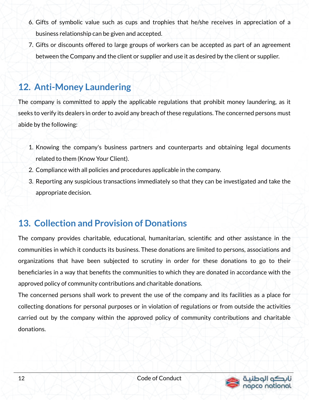- 6. Gifts of symbolic value such as cups and trophies that he/she receives in appreciation of a business relationship can be given and accepted.
- 7. Gifts or discounts offered to large groups of workers can be accepted as part of an agreement between the Company and the client or supplier and use it as desired by the client or supplier.

### **12. Anti-Money Laundering**

The company is committed to apply the applicable regulations that prohibit money laundering, as it seeks to verify its dealers in order to avoid any breach of these regulations. The concerned persons must abide by the following:

- 1. Knowing the company's business partners and counterparts and obtaining legal documents related to them (Know Your Client).
- 2. Compliance with all policies and procedures applicable in the company.
- 3. Reporting any suspicious transactions immediately so that they can be investigated and take the appropriate decision.

### **13. Collection and Provision of Donations**

The company provides charitable, educational, humanitarian, scientific and other assistance in the communities in which it conducts its business. These donations are limited to persons, associations and organizations that have been subjected to scrutiny in order for these donations to go to their beneficiaries in a way that benefits the communities to which they are donated in accordance with the approved policy of community contributions and charitable donations.

The concerned persons shall work to prevent the use of the company and its facilities as a place for collecting donations for personal purposes or in violation of regulations or from outside the activities carried out by the company within the approved policy of community contributions and charitable donations.

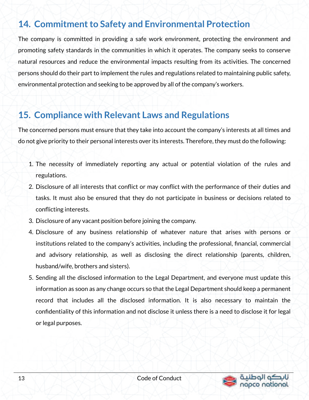## **14. Commitment to Safety and Environmental Protection**

The company is committed in providing a safe work environment, protecting the environment and promoting safety standards in the communities in which it operates. The company seeks to conserve natural resources and reduce the environmental impacts resulting from its activities. The concerned persons should do their part to implement the rules and regulations related to maintaining public safety, environmental protection and seeking to be approved by all of the company's workers.

#### **15. Compliance with Relevant Laws and Regulations**

The concerned persons must ensure that they take into account the company's interests at all times and do not give priority to their personal interests over its interests. Therefore, they must do the following:

- 1. The necessity of immediately reporting any actual or potential violation of the rules and regulations.
- 2. Disclosure of all interests that conflict or may conflict with the performance of their duties and tasks. It must also be ensured that they do not participate in business or decisions related to conflicting interests.
- 3. Disclosure of any vacant position before joining the company.
- 4. Disclosure of any business relationship of whatever nature that arises with persons or institutions related to the company's activities, including the professional, financial, commercial and advisory relationship, as well as disclosing the direct relationship (parents, children, husband/wife, brothers and sisters).
- 5. Sending all the disclosed information to the Legal Department, and everyone must update this information as soon as any change occurs so that the Legal Department should keep a permanent record that includes all the disclosed information. It is also necessary to maintain the confidentiality of this information and not disclose it unless there is a need to disclose it for legal or legal purposes.

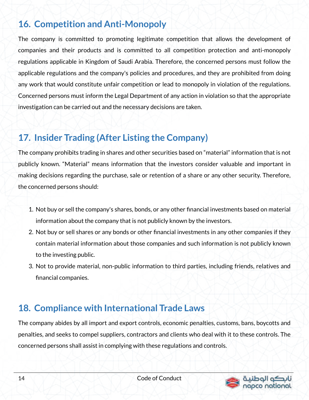## **16. Competition and Anti-Monopoly**

The company is committed to promoting legitimate competition that allows the development of companies and their products and is committed to all competition protection and anti-monopoly regulations applicable in Kingdom of Saudi Arabia. Therefore, the concerned persons must follow the applicable regulations and the company's policies and procedures, and they are prohibited from doing any work that would constitute unfair competition or lead to monopoly in violation of the regulations. Concerned persons must inform the Legal Department of any action in violation so that the appropriate investigation can be carried out and the necessary decisions are taken.

# **17. Insider Trading (After Listing the Company)**

The company prohibits trading in shares and other securities based on "material" information that is not publicly known. "Material" means information that the investors consider valuable and important in making decisions regarding the purchase, sale or retention of a share or any other security. Therefore, the concerned persons should:

- 1. Not buy or sell the company's shares, bonds, or any other financial investments based on material information about the company that is not publicly known by the investors.
- 2. Not buy or sell shares or any bonds or other financial investments in any other companies if they contain material information about those companies and such information is not publicly known to the investing public.
- 3. Not to provide material, non-public information to third parties, including friends, relatives and financial companies.

### **18. Compliance with International Trade Laws**

The company abides by all import and export controls, economic penalties, customs, bans, boycotts and penalties, and seeks to compel suppliers, contractors and clients who deal with it to these controls. The concerned persons shall assist in complying with these regulations and controls.

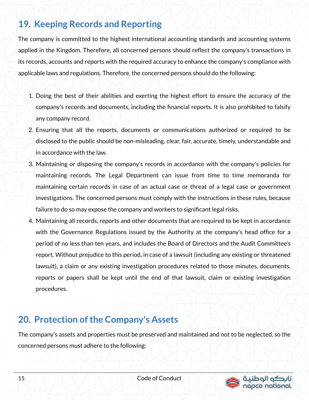## **19. Keeping Records and Reporting**

The company is committed to the highest international accounting standards and accounting systems applied in the Kingdom. Therefore, all concerned persons should reflect the company's transactions in its records, accounts and reports with the required accuracy to enhance the company's compliance with applicable laws and regulations. Therefore, the concerned persons should do the following:

- 1. Doing the best of their abilities and exerting the highest effort to ensure the accuracy of the company's records and documents, including the financial reports. It is also prohibited to falsify any company record.
- 2. Ensuring that all the reports, documents or communications authorized or required to be disclosed to the public should be non-misleading, clear, fair, accurate, timely, understandable and in accordance with the law.
- 3. Maintaining or disposing the company's records in accordance with the company's policies for maintaining records. The Legal Department can issue from time to time memoranda for maintaining certain records in case of an actual case or threat of a legal case or government investigations. The concerned persons must comply with the instructions in these rules, because failure to do so may expose the company and workers to significant legal risks.
- 4. Maintaining all records, reports and other documents that are required to be kept in accordance with the Governance Regulations issued by the Authority at the company's head office for a period of no less than ten years, and includes the Board of Directors and the Audit Committee's report. Without prejudice to this period, in case of a lawsuit (including any existing or threatened lawsuit), a claim or any existing investigation procedures related to those minutes, documents, reports or papers shall be kept until the end of that lawsuit, claim or existing investigation procedures.

#### **20. Protection of the Company's Assets**

The company's assets and properties must be preserved and maintained and not to be neglected, so the concerned persons must adhere to the following:

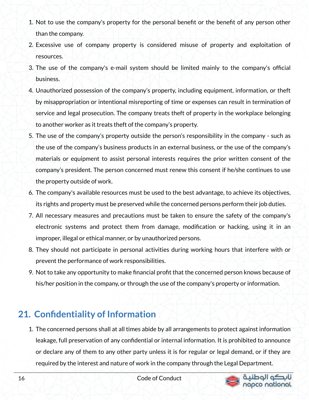- 1. Not to use the company's property for the personal benefit or the benefit of any person other than the company.
- 2. Excessive use of company property is considered misuse of property and exploitation of resources.
- 3. The use of the company's e-mail system should be limited mainly to the company's official business.
- 4. Unauthorized possession of the company's property, including equipment, information, or theft by misappropriation or intentional misreporting of time or expenses can result in termination of service and legal prosecution. The company treats theft of property in the workplace belonging to another worker as it treats theft of the company's property.
- 5. The use of the company's property outside the person's responsibility in the company such as the use of the company's business products in an external business, or the use of the company's materials or equipment to assist personal interests requires the prior written consent of the company's president. The person concerned must renew this consent if he/she continues to use the property outside of work.
- 6. The company's available resources must be used to the best advantage, to achieve its objectives, its rights and property must be preserved while the concerned persons perform their job duties.
- 7. All necessary measures and precautions must be taken to ensure the safety of the company's electronic systems and protect them from damage, modification or hacking, using it in an improper, illegal or ethical manner, or by unauthorized persons.
- 8. They should not participate in personal activities during working hours that interfere with or prevent the performance of work responsibilities.
- 9. Not to take any opportunity to make financial profit that the concerned person knows because of his/her position in the company, or through the use of the company's property or information.

## **21. Confidentiality of Information**

1. The concerned persons shall at all times abide by all arrangements to protect against information leakage, full preservation of any confidential or internal information. It is prohibited to announce or declare any of them to any other party unless it is for regular or legal demand, or if they are required by the interest and nature of work in the company through the Legal Department.



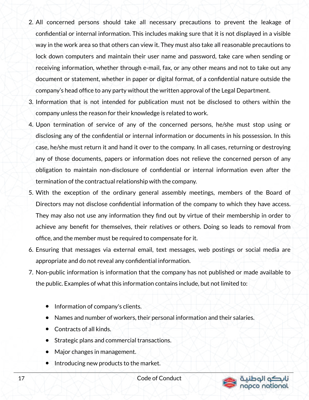- 2. All concerned persons should take all necessary precautions to prevent the leakage of confidential or internal information. This includes making sure that it is not displayed in a visible way in the work area so that others can view it. They must also take all reasonable precautions to lock down computers and maintain their user name and password, take care when sending or receiving information, whether through e-mail, fax, or any other means and not to take out any document or statement, whether in paper or digital format, of a confidential nature outside the company's head office to any party without the written approval of the Legal Department.
- 3. Information that is not intended for publication must not be disclosed to others within the company unless the reason for their knowledge is related to work.
- 4. Upon termination of service of any of the concerned persons, he/she must stop using or disclosing any of the confidential or internal information or documents in his possession. In this case, he/she must return it and hand it over to the company. In all cases, returning or destroying any of those documents, papers or information does not relieve the concerned person of any obligation to maintain non-disclosure of confidential or internal information even after the termination of the contractual relationship with the company.
- 5. With the exception of the ordinary general assembly meetings, members of the Board of Directors may not disclose confidential information of the company to which they have access. They may also not use any information they find out by virtue of their membership in order to achieve any benefit for themselves, their relatives or others. Doing so leads to removal from office, and the member must be required to compensate for it.
- 6. Ensuring that messages via external email, text messages, web postings or social media are appropriate and do not reveal any confidential information.
- 7. Non-public information is information that the company has not published or made available to the public. Examples of what this information contains include, but not limited to:
	- Information of company's clients.
	- Names and number of workers, their personal information and their salaries.
	- Contracts of all kinds.
	- Strategic plans and commercial transactions.
	- Major changes in management.
	- Introducing new products to the market.



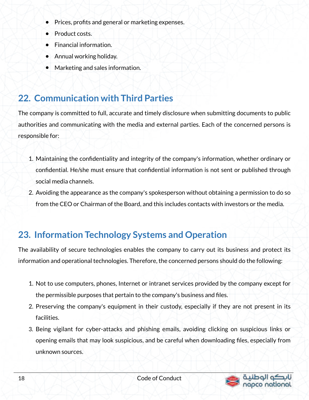- Prices, profits and general or marketing expenses.
- **Product costs.**
- **Financial information.**
- Annual working holiday.
- Marketing and sales information.

## **22. Communication with Third Parties**

The company is committed to full, accurate and timely disclosure when submitting documents to public authorities and communicating with the media and external parties. Each of the concerned persons is responsible for:

- 1. Maintaining the confidentiality and integrity of the company's information, whether ordinary or confidential. He/she must ensure that confidential information is not sent or published through social media channels.
- 2. Avoiding the appearance as the company's spokesperson without obtaining a permission to do so from the CEO or Chairman of the Board, and this includes contacts with investors or the media.

## **23. Information Technology Systems and Operation**

The availability of secure technologies enables the company to carry out its business and protect its information and operational technologies. Therefore, the concerned persons should do the following:

- 1. Not to use computers, phones, Internet or intranet services provided by the company except for the permissible purposes that pertain to the company's business and files.
- 2. Preserving the company's equipment in their custody, especially if they are not present in its facilities.
- 3. Being vigilant for cyber-attacks and phishing emails, avoiding clicking on suspicious links or opening emails that may look suspicious, and be careful when downloading files, especially from unknown sources.

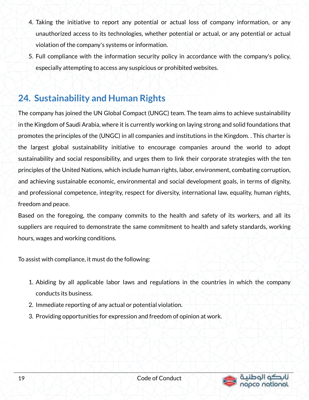- 4. Taking the initiative to report any potential or actual loss of company information, or any unauthorized access to its technologies, whether potential or actual, or any potential or actual violation of the company's systems or information.
- 5. Full compliance with the information security policy in accordance with the company's policy, especially attempting to access any suspicious or prohibited websites.

## **24. Sustainability and Human Rights**

The company has joined the UN Global Compact (UNGC) team. The team aims to achieve sustainability in the Kingdom of Saudi Arabia, where it is currently working on laying strong and solid foundations that promotes the principles of the (UNGC) in all companies and institutions in the Kingdom. . This charter is the largest global sustainability initiative to encourage companies around the world to adopt sustainability and social responsibility, and urges them to link their corporate strategies with the ten principles of the United Nations, which include human rights, labor, environment, combating corruption, and achieving sustainable economic, environmental and social development goals, in terms of dignity, and professional competence, integrity, respect for diversity, international law, equality, human rights, freedom and peace.

Based on the foregoing, the company commits to the health and safety of its workers, and all its suppliers are required to demonstrate the same commitment to health and safety standards, working hours, wages and working conditions.

To assist with compliance, it must do the following:

- 1. Abiding by all applicable labor laws and regulations in the countries in which the company conducts its business.
- 2. Immediate reporting of any actual or potential violation.
- 3. Providing opportunities for expression and freedom of opinion at work.

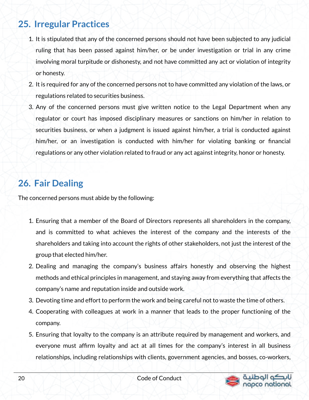## **25. Irregular Practices**

- 1. It is stipulated that any of the concerned persons should not have been subjected to any judicial ruling that has been passed against him/her, or be under investigation or trial in any crime involving moral turpitude or dishonesty, and not have committed any act or violation of integrity or honesty.
- 2. It is required for any of the concerned persons not to have committed any violation of the laws, or regulations related to securities business.
- 3. Any of the concerned persons must give written notice to the Legal Department when any regulator or court has imposed disciplinary measures or sanctions on him/her in relation to securities business, or when a judgment is issued against him/her, a trial is conducted against him/her, or an investigation is conducted with him/her for violating banking or financial regulations or any other violation related to fraud or any act against integrity, honor or honesty.

## **26. Fair Dealing**

The concerned persons must abide by the following:

- 1. Ensuring that a member of the Board of Directors represents all shareholders in the company, and is committed to what achieves the interest of the company and the interests of the shareholders and taking into account the rights of other stakeholders, not just the interest of the group that elected him/her.
- 2. Dealing and managing the company's business affairs honestly and observing the highest methods and ethical principles in management, and staying away from everything that affects the company's name and reputation inside and outside work.
- 3. Devoting time and effort to perform the work and being careful not to waste the time of others.
- 4. Cooperating with colleagues at work in a manner that leads to the proper functioning of the company.
- 5. Ensuring that loyalty to the company is an attribute required by management and workers, and everyone must affirm loyalty and act at all times for the company's interest in all business relationships, including relationships with clients, government agencies, and bosses, co-workers,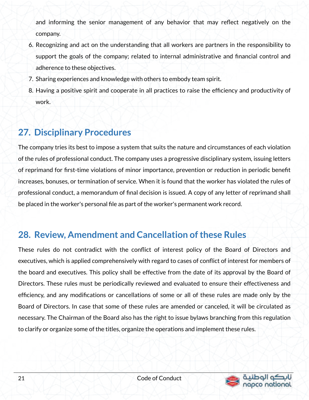and informing the senior management of any behavior that may reflect negatively on the company.

- 6. Recognizing and act on the understanding that all workers are partners in the responsibility to support the goals of the company; related to internal administrative and financial control and adherence to these objectives.
- 7. Sharing experiences and knowledge with others to embody team spirit.
- 8. Having a positive spirit and cooperate in all practices to raise the efficiency and productivity of work.

# **27. Disciplinary Procedures**

The company tries its best to impose a system that suits the nature and circumstances of each violation of the rules of professional conduct. The company uses a progressive disciplinary system, issuing letters of reprimand for first-time violations of minor importance, prevention or reduction in periodic benefit increases, bonuses, or termination of service. When it is found that the worker has violated the rules of professional conduct, a memorandum of final decision is issued. A copy of any letter of reprimand shall be placed in the worker's personal file as part of the worker's permanent work record.

### **28. Review, Amendment and Cancellation of these Rules**

These rules do not contradict with the conflict of interest policy of the Board of Directors and executives, which is applied comprehensively with regard to cases of conflict of interest for members of the board and executives. This policy shall be effective from the date of its approval by the Board of Directors. These rules must be periodically reviewed and evaluated to ensure their effectiveness and efficiency, and any modifications or cancellations of some or all of these rules are made only by the Board of Directors. In case that some of these rules are amended or canceled, it will be circulated as necessary. The Chairman of the Board also has the right to issue bylaws branching from this regulation to clarify or organize some of the titles, organize the operations and implement these rules.